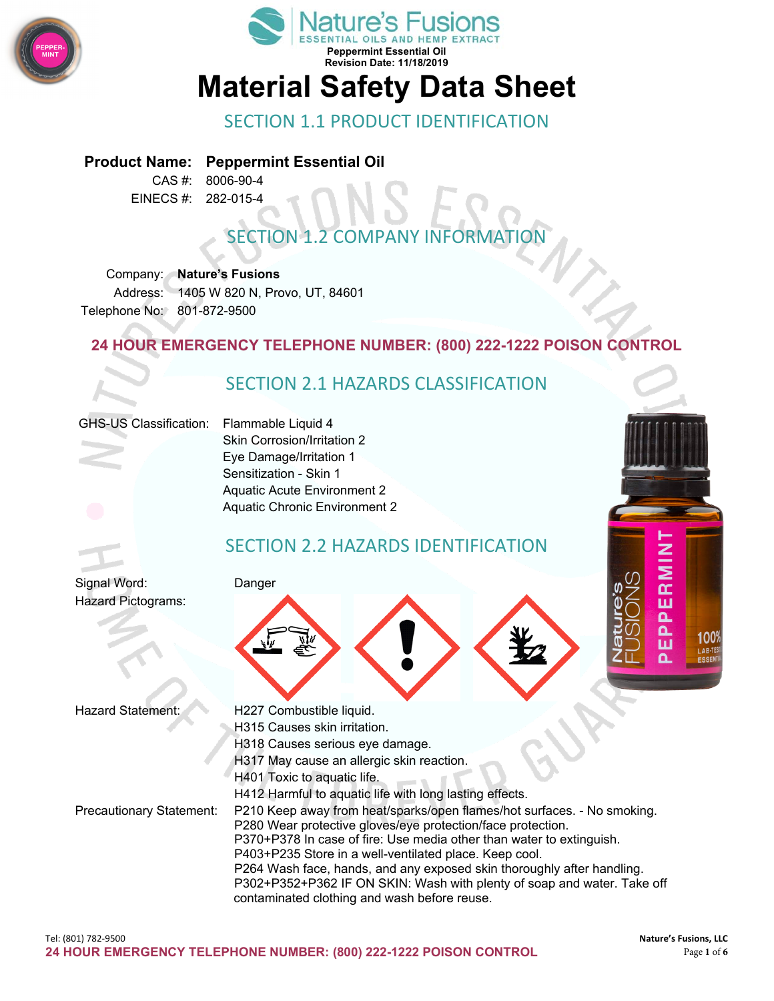



# **Material Safety Data Sheet**

#### SECTION 1.1 PRODUCT IDENTIFICATION

#### **Product Name: Peppermint Essential Oil**

CAS #: 8006-90-4 EINECS #: 282-015-4

# **SECTION 1.2 COMPANY INFORMAT**

Company: **Nature's Fusions** Address: 1405 W 820 N, Provo, UT, 84601 Telephone No: 801-872-9500

#### **24 HOUR EMERGENCY TELEPHONE NUMBER: (800) 222-1222 POISON CONTROL**

#### SECTION 2.1 HAZARDS CLASSIFICATION

#### GHS-US Classification: Flammable Liquid 4

Skin Corrosion/Irritation 2 Eye Damage/Irritation 1 Sensitization - Skin 1 Aquatic Acute Environment 2 Aquatic Chronic Environment 2

#### SECTION 2.2 HAZARDS IDENTIFICATION

Signal Word: Danger Hazard Pictograms:





- Hazard Statement: H227 Combustible liquid.
	- H315 Causes skin irritation.
	- H318 Causes serious eye damage.
	- H317 May cause an allergic skin reaction.
	- H401 Toxic to aquatic life.

Precautionary Statement: P210 Keep away from heat/sparks/open flames/hot surfaces. - No smoking. P280 Wear protective gloves/eye protection/face protection.

H412 Harmful to aquatic life with long lasting effects.

- P370+P378 In case of fire: Use media other than water to extinguish.
- P403+P235 Store in a well-ventilated place. Keep cool.
- P264 Wash face, hands, and any exposed skin thoroughly after handling.

P302+P352+P362 IF ON SKIN: Wash with plenty of soap and water. Take off contaminated clothing and wash before reuse.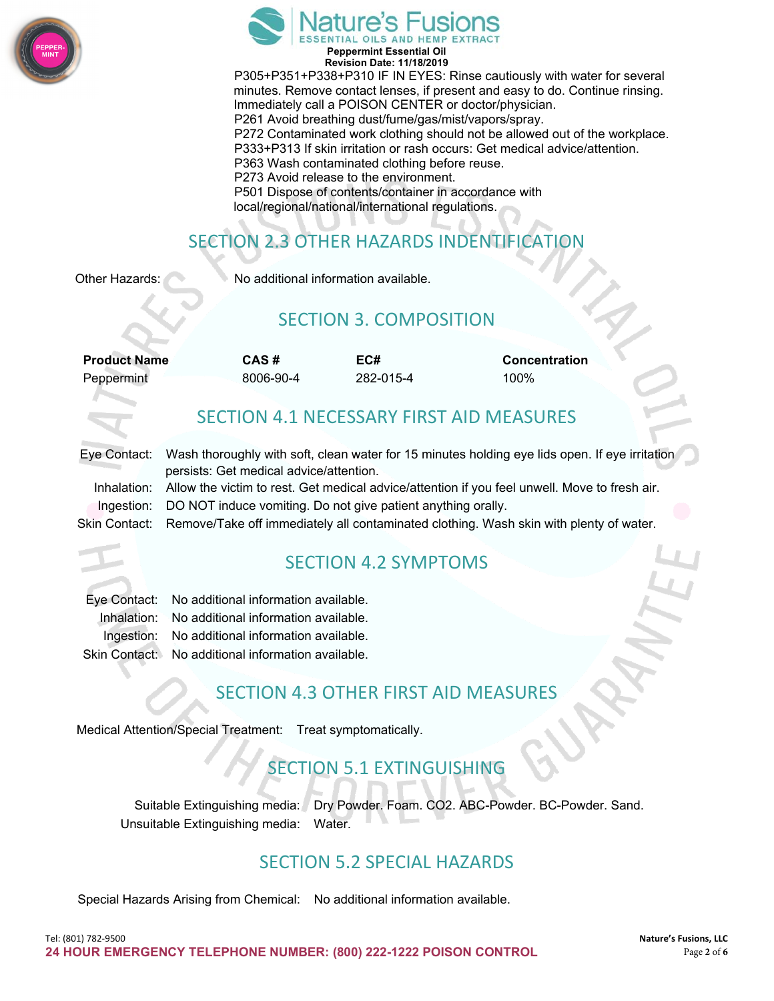



**Revision Date: 11/18/2019** P305+P351+P338+P310 IF IN EYES: Rinse cautiously with water for several minutes. Remove contact lenses, if present and easy to do. Continue rinsing. Immediately call a POISON CENTER or doctor/physician. P261 Avoid breathing dust/fume/gas/mist/vapors/spray. P272 Contaminated work clothing should not be allowed out of the workplace. P333+P313 If skin irritation or rash occurs: Get medical advice/attention. P363 Wash contaminated clothing before reuse. P273 Avoid release to the environment. P501 Dispose of contents/container in accordance with local/regional/national/international regulations.

## SECTION 2.3 OTHER HAZARDS INDENTIFICATION

Other Hazards: No additional information available.

#### SECTION 3. COMPOSITION

| <b>Product Name</b> | CAS#      | EC#       | <b>Concentration</b> |
|---------------------|-----------|-----------|----------------------|
| Peppermint          | 8006-90-4 | 282-015-4 | 100%                 |

#### SECTION 4.1 NECESSARY FIRST AID MEASURES

| Eye Contact: Wash tho |           |
|-----------------------|-----------|
|                       | persists: |
| Inhalation: Allow the |           |

proughly with soft, clean water for 15 minutes holding eye lids open. If eye irritation Get medical advice/attention.

victim to rest. Get medical advice/attention if you feel unwell. Move to fresh air. Ingestion: DO NOT induce vomiting. Do not give patient anything orally.

Skin Contact: Remove/Take off immediately all contaminated clothing. Wash skin with plenty of water.

#### SECTION 4.2 SYMPTOMS

| Eye Contact: No additional information available.  |
|----------------------------------------------------|
| Inhalation: No additional information available.   |
| Ingestion: No additional information available.    |
| Skin Contact: No additional information available. |

#### SECTION 4.3 OTHER FIRST AID MEASURES

Medical Attention/Special Treatment: Treat symptomatically.

#### SECTION 5.1 EXTINGUISHING

Suitable Extinguishing media: Dry Powder. Foam. CO2. ABC-Powder. BC-Powder. Sand. Unsuitable Extinguishing media: Water.

#### SECTION 5.2 SPECIAL HAZARDS

Special Hazards Arising from Chemical: No additional information available.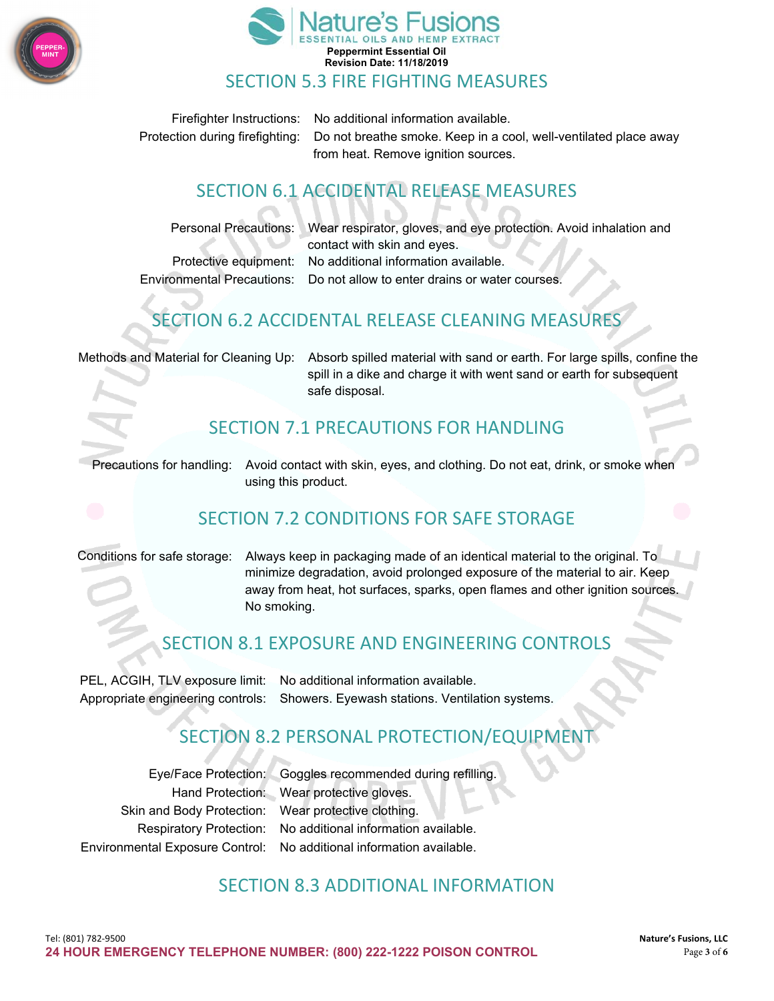



Firefighter Instructions: No additional information available. Protection during firefighting: Do not breathe smoke. Keep in a cool, well-ventilated place away from heat. Remove ignition sources.

# SECTION 6.1 ACCIDENTAL RELEASE MEASURES

| Personal Precautions: Wear respirator, gloves, and eye protection. Avoid inhalation and |
|-----------------------------------------------------------------------------------------|
| contact with skin and eyes.                                                             |
| Protective equipment: No additional information available.                              |
| Environmental Precautions: Do not allow to enter drains or water courses.               |
|                                                                                         |

### SECTION 6.2 ACCIDENTAL RELEASE CLEANING MEASURES

Methods and Material for Cleaning Up: Absorb spilled material with sand or earth. For large spills, confine the spill in a dike and charge it with went sand or earth for subsequent safe disposal.

#### SECTION 7.1 PRECAUTIONS FOR HANDLING

Precautions for handling: Avoid contact with skin, eyes, and clothing. Do not eat, drink, or smoke when using this product.

#### SECTION 7.2 CONDITIONS FOR SAFE STORAGE

Conditions for safe storage: Always keep in packaging made of an identical material to the original. To minimize degradation, avoid prolonged exposure of the material to air. Keep away from heat, hot surfaces, sparks, open flames and other ignition sources. No smoking.

#### SECTION 8.1 EXPOSURE AND ENGINEERING CONTROLS

PEL, ACGIH, TLV exposure limit: No additional information available. Appropriate engineering controls: Showers. Eyewash stations. Ventilation systems.

#### SECTION 8.2 PERSONAL PROTECTION/EQUIPMENT

Eye/Face Protection: Goggles recommended during refilling. Hand Protection: Wear protective gloves. Skin and Body Protection: Wear protective clothing. Respiratory Protection: No additional information available. Environmental Exposure Control: No additional information available.

#### SECTION 8.3 ADDITIONAL INFORMATION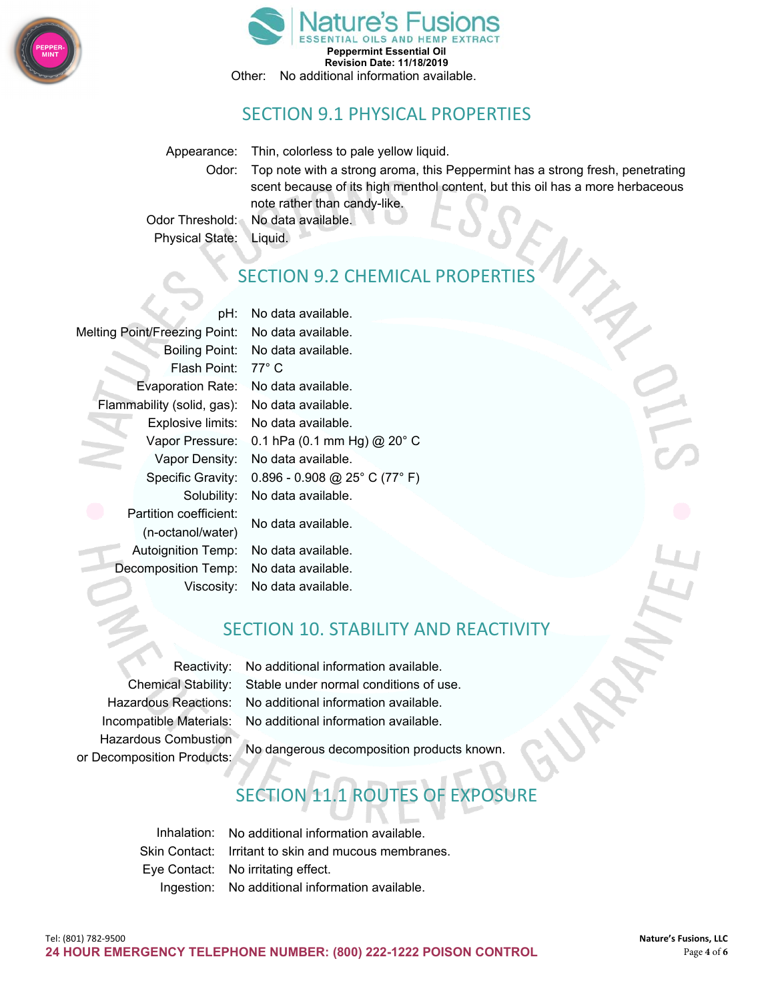



#### SECTION 9.1 PHYSICAL PROPERTIES

Appearance: Thin, colorless to pale yellow liquid.

Odor: Top note with a strong aroma, this Peppermint has a strong fresh, penetrating scent because of its high menthol content, but this oil has a more herbaceous note rather than candy-like.

Odor Threshold: No data available. Physical State: Liquid.

### **SECTION 9.2 CHEMICAL PROPE**

Melting Point/Freezing Point: No data available. Flash Point: 77° C Evaporation Rate: No data available. Flammability (solid, gas): No data available. Partition coefficient: No data available. (n-octanol/water) Autoignition Temp: No data available. Decomposition Temp: No data available.

pH: No data available. Boiling Point: No data available. Explosive limits: No data available. Vapor Pressure: 0.1 hPa (0.1 mm Hg) @ 20° C Vapor Density: No data available. Specific Gravity: 0.896 - 0.908 @ 25° C (77° F) Solubility: No data available.

Viscosity: No data available.

#### SECTION 10. STABILITY AND REACTIVITY

Hazardous Combustion

Reactivity: No additional information available. Chemical Stability: Stable under normal conditions of use. Hazardous Reactions: No additional information available. Incompatible Materials: No additional information available.

No dangerous decomposition products known. or Decomposition Products:

# SECTION 11.1 ROUTES OF EXPOSURE

Inhalation: No additional information available. Skin Contact: Irritant to skin and mucous membranes. Eye Contact: No irritating effect. Ingestion: No additional information available.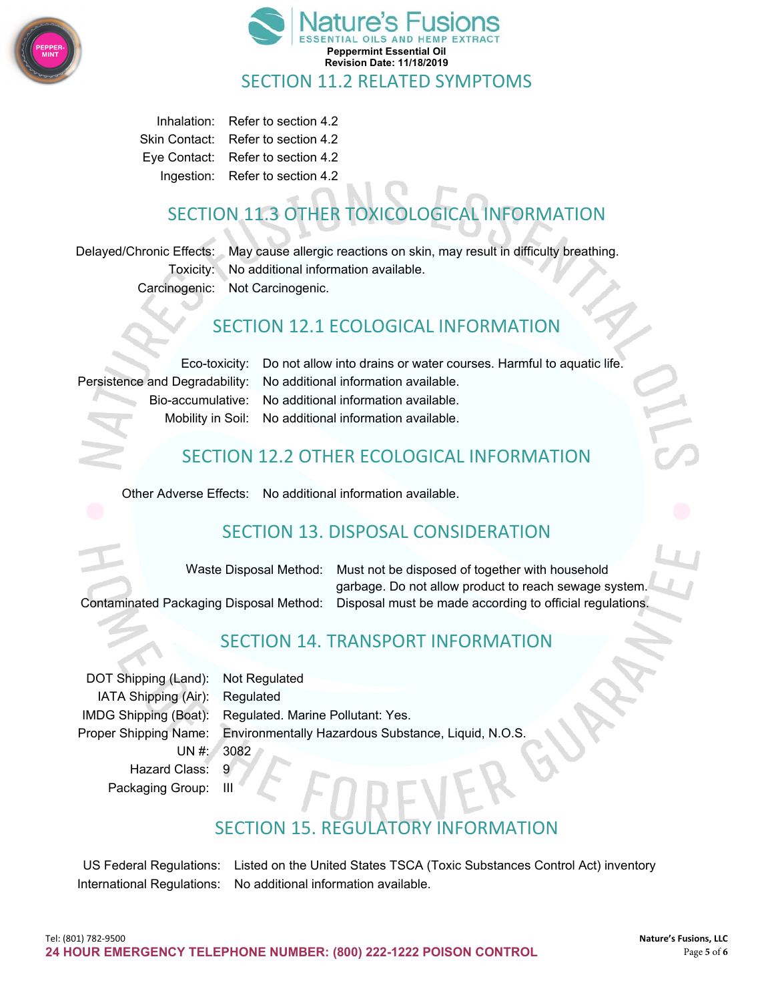



Inhalation: Refer to section 4.2 Skin Contact: Refer to section 4.2 Eye Contact: Refer to section 4.2 Ingestion: Refer to section 4.2

# SECTION 11.3 OTHER TOXICOLOGICAL INFORMATION

Delayed/Chronic Effects: May cause allergic reactions on skin, may result in difficulty breathing. Toxicity: No additional information available. Carcinogenic: Not Carcinogenic.

#### SECTION 12.1 ECOLOGICAL INFORMATION

Eco-toxicity: Do not allow into drains or water courses. Harmful to aquatic life. Persistence and Degradability: No additional information available. Bio-accumulative: No additional information available. Mobility in Soil: No additional information available.

### SECTION 12.2 OTHER ECOLOGICAL INFORMATION

Other Adverse Effects: No additional information available.

### SECTION 13. DISPOSAL CONSIDERATION

Waste Disposal Method: Must not be disposed of together with household garbage. Do not allow product to reach sewage system. Contaminated Packaging Disposal Method: Disposal must be made according to official regulations.

### SECTION 14. TRANSPORT INFORMATION

DOT Shipping (Land): Not Regulated IATA Shipping (Air): Regulated UN #: 3082 Hazard Class: 9

IMDG Shipping (Boat): Regulated. Marine Pollutant: Yes. Proper Shipping Name: Environmentally Hazardous Substance, Liquid, N.O.S.

Packaging Group: III

## SECTION 15. REGULATORY INFORMATION

US Federal Regulations: Listed on the United States TSCA (Toxic Substances Control Act) inventory International Regulations: No additional information available.